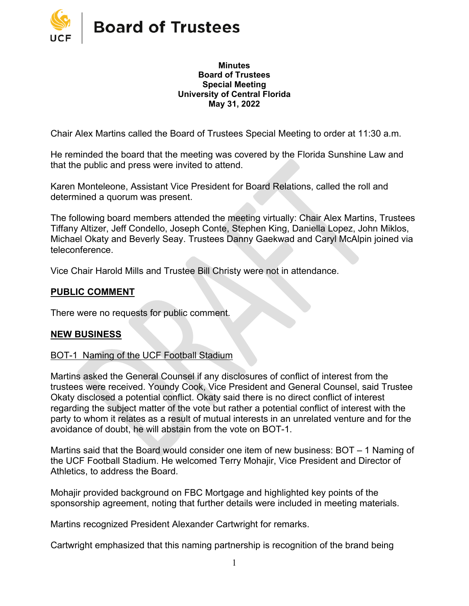

#### **Minutes Board of Trustees Special Meeting University of Central Florida May 31, 2022**

Chair Alex Martins called the Board of Trustees Special Meeting to order at 11:30 a.m.

He reminded the board that the meeting was covered by the Florida Sunshine Law and that the public and press were invited to attend.

Karen Monteleone, Assistant Vice President for Board Relations, called the roll and determined a quorum was present.

The following board members attended the meeting virtually: Chair Alex Martins, Trustees Tiffany Altizer, Jeff Condello, Joseph Conte, Stephen King, Daniella Lopez, John Miklos, Michael Okaty and Beverly Seay. Trustees Danny Gaekwad and Caryl McAlpin joined via teleconference.

Vice Chair Harold Mills and Trustee Bill Christy were not in attendance.

### **PUBLIC COMMENT**

There were no requests for public comment.

### **NEW BUSINESS**

#### BOT-1 Naming of the UCF Football Stadium

Martins asked the General Counsel if any disclosures of conflict of interest from the trustees were received. Youndy Cook, Vice President and General Counsel, said Trustee Okaty disclosed a potential conflict. Okaty said there is no direct conflict of interest regarding the subject matter of the vote but rather a potential conflict of interest with the party to whom it relates as a result of mutual interests in an unrelated venture and for the avoidance of doubt, he will abstain from the vote on BOT-1.

Martins said that the Board would consider one item of new business: BOT – 1 Naming of the UCF Football Stadium. He welcomed Terry Mohajir, Vice President and Director of Athletics, to address the Board.

Mohajir provided background on FBC Mortgage and highlighted key points of the sponsorship agreement, noting that further details were included in meeting materials.

Martins recognized President Alexander Cartwright for remarks.

Cartwright emphasized that this naming partnership is recognition of the brand being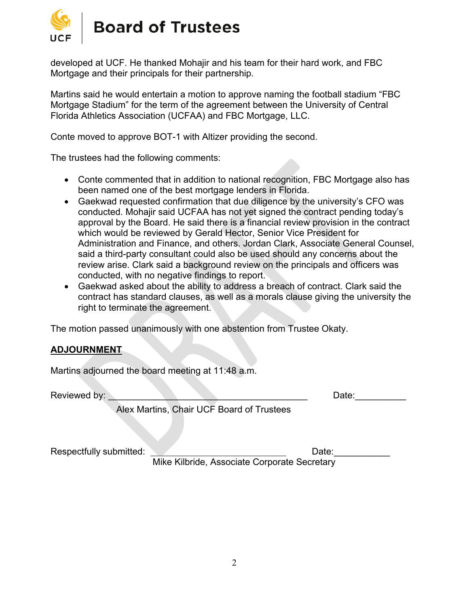

developed at UCF. He thanked Mohajir and his team for their hard work, and FBC Mortgage and their principals for their partnership.

Martins said he would entertain a motion to approve naming the football stadium "FBC Mortgage Stadium" for the term of the agreement between the University of Central Florida Athletics Association (UCFAA) and FBC Mortgage, LLC.

Conte moved to approve BOT-1 with Altizer providing the second.

The trustees had the following comments:

- Conte commented that in addition to national recognition, FBC Mortgage also has been named one of the best mortgage lenders in Florida.
- Gaekwad requested confirmation that due diligence by the university's CFO was conducted. Mohajir said UCFAA has not yet signed the contract pending today's approval by the Board. He said there is a financial review provision in the contract which would be reviewed by Gerald Hector, Senior Vice President for Administration and Finance, and others. Jordan Clark, Associate General Counsel, said a third-party consultant could also be used should any concerns about the review arise. Clark said a background review on the principals and officers was conducted, with no negative findings to report.
- Gaekwad asked about the ability to address a breach of contract. Clark said the contract has standard clauses, as well as a morals clause giving the university the right to terminate the agreement.

The motion passed unanimously with one abstention from Trustee Okaty.

### **ADJOURNMENT**

Martins adjourned the board meeting at 11:48 a.m.

Reviewed by: \_\_\_\_\_\_\_\_\_\_\_\_\_\_\_\_\_\_\_\_\_\_\_\_\_\_\_\_\_\_\_\_\_\_\_\_\_\_\_ Date:\_\_\_\_\_\_\_\_\_\_

Alex Martins, Chair UCF Board of Trustees

Respectfully submitted: Network and Date:

Mike Kilbride, Associate Corporate Secretary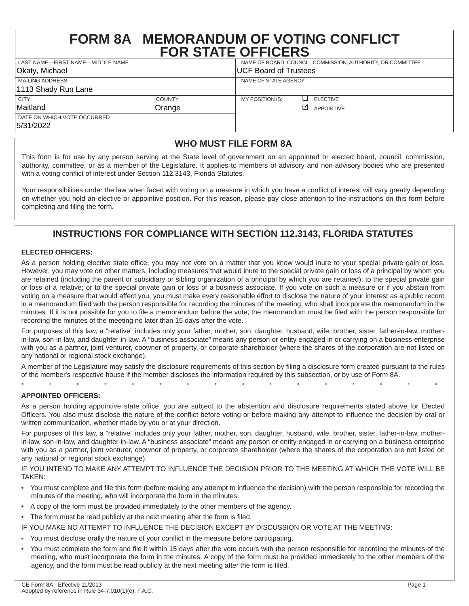# **FORM 8A MEMORANDUM OF VOTING CONFLICT FOR STATE OFFICERS**

| LAST NAME-FIRST NAME-MIDDLE NAME         |               | NAME OF BOARD, COUNCIL, COMMISSION, AUTHORITY, OR COMMITTEE |                       |
|------------------------------------------|---------------|-------------------------------------------------------------|-----------------------|
| <sup>I</sup> Okaty, Michael              |               | UCF Board of Trustees                                       |                       |
| MAILING ADDRESS                          |               | NAME OF STATE AGENCY                                        |                       |
| 1113 Shady Run Lane                      |               |                                                             |                       |
| <b>CITY</b>                              | <b>COUNTY</b> | MY POSITION IS:                                             | <b>ELECTIVE</b><br>–∎ |
| Maitland                                 | Orange        |                                                             | ঢা<br>APPOINTIVE      |
| DATE ON WHICH VOTE OCCURRED<br>5/31/2022 |               |                                                             |                       |

# **WHO MUST FILE FORM 8A**

This form is for use by any person serving at the State level of government on an appointed or elected board, council, commission, authority, committee, or as a member of the Legislature. It applies to members of advisory and non-advisory bodies who are presented with a voting conflict of interest under Section 112.3143, Florida Statutes.

Your responsibilities under the law when faced with voting on a measure in which you have a conflict of interest will vary greatly depending on whether you hold an elective or appointive position. For this reason, please pay close attention to the instructions on this form before completing and filing the form.

## **INSTRUCTIONS FOR COMPLIANCE WITH SECTION 112.3143, FLORIDA STATUTES**

#### **ELECTED OFFICERS:**

As a person holding elective state office, you may not vote on a matter that you know would inure to your special private gain or loss. However, you may vote on other matters, including measures that would inure to the special private gain or loss of a principal by whom you are retained (including the parent or subsidiary or sibling organization of a principal by which you are retained); to the special private gain or loss of a relative; or to the special private gain or loss of a business associate. If you vote on such a measure or if you abstain from voting on a measure that would affect you, you must make every reasonable effort to disclose the nature of your interest as a public record in a memorandum filed with the person responsible for recording the minutes of the meeting, who shall incorporate the memorandum in the minutes. If it is not possible for you to file a memorandum before the vote, the memorandum must be filed with the person responsible for recording the minutes of the meeting no later than 15 days after the vote.

For purposes of this law, a "relative" includes only your father, mother, son, daughter, husband, wife, brother, sister, father-in-law, motherin-law, son-in-law, and daughter-in-law. A "business associate" means any person or entity engaged in or carrying on a business enterprise with you as a partner, joint venturer, coowner of property, or corporate shareholder (where the shares of the corporation are not listed on any national or regional stock exchange).

A member of the Legislature may satisfy the disclosure requirements of this section by filing a disclosure form created pursuant to the rules of the member's respective house if the member discloses the information required by this subsection, or by use of Form 8A.

\* \* \* \* \* \* \* \* \* \* \* \* \* \* \* \* **APPOINTED OFFICERS:**

As a person holding appointive state office, you are subject to the abstention and disclosure requirements stated above for Elected Officers. You also must disclose the nature of the conflict before voting or before making any attempt to influence the decision by oral or written communication, whether made by you or at your direction.

For purposes of this law, a "relative" includes only your father, mother, son, daughter, husband, wife, brother, sister, father-in-law, motherin-law, son-in-law, and daughter-in-law. A "business associate" means any person or entity engaged in or carrying on a business enterprise with you as a partner, joint venturer, coowner of property, or corporate shareholder (where the shares of the corporation are not listed on any national or regional stock exchange).

IF YOU INTEND TO MAKE ANY ATTEMPT TO INFLUENCE THE DECISION PRIOR TO THE MEETING AT WHICH THE VOTE WILL BE TAKEN:

- You must complete and file this form (before making any attempt to influence the decision) with the person responsible for recording the minutes of the meeting, who will incorporate the form in the minutes.
- A copy of the form must be provided immediately to the other members of the agency.

• The form must be read publicly at the next meeting after the form is filed.

- IF YOU MAKE NO ATTEMPT TO INFLUENCE THE DECISION EXCEPT BY DISCUSSION OR VOTE AT THE MEETING:
- You must disclose orally the nature of your conflict in the measure before participating.
- You must complete the form and file it within 15 days after the vote occurs with the person responsible for recording the minutes of the meeting, who must incorporate the form in the minutes. A copy of the form must be provided immediately to the other members of the agency, and the form must be read publicly at the next meeting after the form is filed.